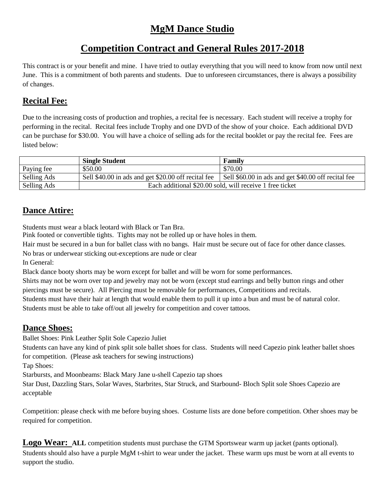# **MgM Dance Studio**

# **Competition Contract and General Rules 2017-2018**

This contract is or your benefit and mine. I have tried to outlay everything that you will need to know from now until next June. This is a commitment of both parents and students. Due to unforeseen circumstances, there is always a possibility of changes.

## **Recital Fee:**

Due to the increasing costs of production and trophies, a recital fee is necessary. Each student will receive a trophy for performing in the recital. Recital fees include Trophy and one DVD of the show of your choice. Each additional DVD can be purchase for \$30.00. You will have a choice of selling ads for the recital booklet or pay the recital fee. Fees are listed below:

|             | <b>Single Student</b>                                    | Family                                              |
|-------------|----------------------------------------------------------|-----------------------------------------------------|
| Paying fee  | \$50.00                                                  | \$70.00                                             |
| Selling Ads | Sell \$40.00 in ads and get \$20.00 off recital fee      | Sell \$60.00 in ads and get \$40.00 off recital fee |
| Selling Ads | Each additional \$20.00 sold, will receive 1 free ticket |                                                     |

## **Dance Attire:**

Students must wear a black leotard with Black or Tan Bra.

Pink footed or convertible tights. Tights may not be rolled up or have holes in them.

Hair must be secured in a bun for ballet class with no bangs. Hair must be secure out of face for other dance classes. No bras or underwear sticking out-exceptions are nude or clear

In General:

Black dance booty shorts may be worn except for ballet and will be worn for some performances.

Shirts may not be worn over top and jewelry may not be worn (except stud earrings and belly button rings and other piercings must be secure). All Piercing must be removable for performances, Competitions and recitals.

Students must have their hair at length that would enable them to pull it up into a bun and must be of natural color. Students must be able to take off/out all jewelry for competition and cover tattoos.

## **Dance Shoes:**

Ballet Shoes: Pink Leather Split Sole Capezio Juliet

Students can have any kind of pink split sole ballet shoes for class. Students will need Capezio pink leather ballet shoes for competition. (Please ask teachers for sewing instructions)

Tap Shoes:

Starbursts, and Moonbeams: Black Mary Jane u-shell Capezio tap shoes

Star Dust, Dazzling Stars, Solar Waves, Starbrites, Star Struck, and Starbound- Bloch Split sole Shoes Capezio are acceptable

Competition: please check with me before buying shoes. Costume lists are done before competition. Other shoes may be required for competition.

Logo Wear: ALL competition students must purchase the GTM Sportswear warm up jacket (pants optional). Students should also have a purple MgM t-shirt to wear under the jacket. These warm ups must be worn at all events to support the studio.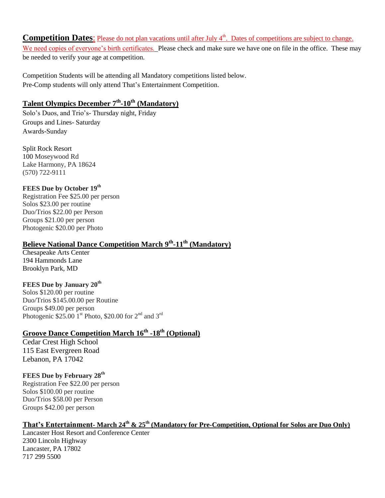#### **Competition Dates:** Please do not plan vacations until after July 4<sup>th</sup>. Dates of competitions are subject to change.

We need copies of everyone's birth certificates. Please check and make sure we have one on file in the office. These may be needed to verify your age at competition.

Competition Students will be attending all Mandatory competitions listed below. Pre-Comp students will only attend That's Entertainment Competition.

#### **Talent Olympics December 7 th -10th (Mandatory)**

Solo's Duos, and Trio's- Thursday night, Friday Groups and Lines- Saturday Awards-Sunday

Split Rock Resort 100 Moseywood Rd Lake Harmony, PA 18624 (570) 722-9111

#### **FEES Due by October 19th**

Registration Fee \$25.00 per person Solos \$23.00 per routine Duo/Trios \$22.00 per Person Groups \$21.00 per person Photogenic \$20.00 per Photo

#### **Believe National Dance Competition March 9 th -11 th (Mandatory)**

Chesapeake Arts Center 194 Hammonds Lane Brooklyn Park, MD

#### **FEES Due by January 20th**

Solos \$120.00 per routine Duo/Trios \$145.00.00 per Routine Groups \$49.00 per person Photogenic \$25.00  $1^{\text{st}}$  Photo, \$20.00 for  $2^{\text{nd}}$  and  $3^{\text{rd}}$ 

#### **Groove Dance Competition March 16th -18th (Optional)**

Cedar Crest High School 115 East Evergreen Road Lebanon, PA 17042

**FEES Due by February 28th** Registration Fee \$22.00 per person Solos \$100.00 per routine Duo/Trios \$58.00 per Person Groups \$42.00 per person

#### **That's Entertainment- March 24 th & 25 th (Mandatory for Pre-Competition, Optional for Solos are Duo Only)**

Lancaster Host Resort and Conference Center 2300 Lincoln Highway Lancaster, PA 17802 717 299 5500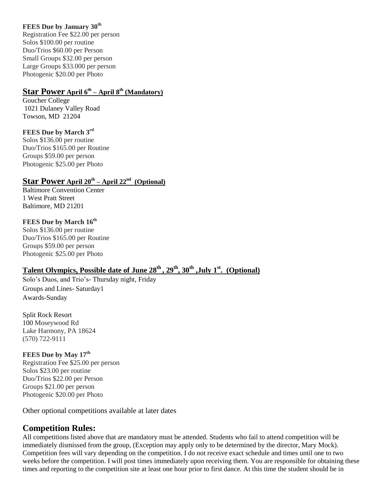#### **FEES Due by January 30th**

Registration Fee \$22.00 per person Solos \$100.00 per routine Duo/Trios \$60.00 per Person Small Groups \$32.00 per person Large Groups \$33.000 per person Photogenic \$20.00 per Photo

#### **Star Power April 6th – April 8 th (Mandatory)**

Goucher College 1021 Dulaney Valley Road Towson, MD 21204

#### **FEES Due by March 3rd**

Solos \$136.00 per routine Duo/Trios \$165.00 per Routine Groups \$59.00 per person Photogenic \$25.00 per Photo

#### **Star Power April 20th – April 22nd (Optional)**

Baltimore Convention Center 1 West Pratt Street Baltimore, MD 21201

#### **FEES Due by March 16th**

Solos \$136.00 per routine Duo/Trios \$165.00 per Routine Groups \$59.00 per person Photogenic \$25.00 per Photo

#### **Talent Olympics, Possible date of June 28th , 29th, 30th ,July 1st. (Optional)**

Solo's Duos, and Trio's- Thursday night, Friday Groups and Lines- Saturday1 Awards-Sunday

Split Rock Resort 100 Moseywood Rd Lake Harmony, PA 18624 (570) 722-9111

## **FEES Due by May 17th** Registration Fee \$25.00 per person Solos \$23.00 per routine

Duo/Trios \$22.00 per Person Groups \$21.00 per person Photogenic \$20.00 per Photo

Other optional competitions available at later dates

## **Competition Rules:**

All competitions listed above that are mandatory must be attended. Students who fail to attend competition will be immediately dismissed from the group, (Exception may apply only to be determined by the director, Mary Mock). Competition fees will vary depending on the competition. I do not receive exact schedule and times until one to two weeks before the competition. I will post times immediately upon receiving them. You are responsible for obtaining these times and reporting to the competition site at least one hour prior to first dance. At this time the student should be in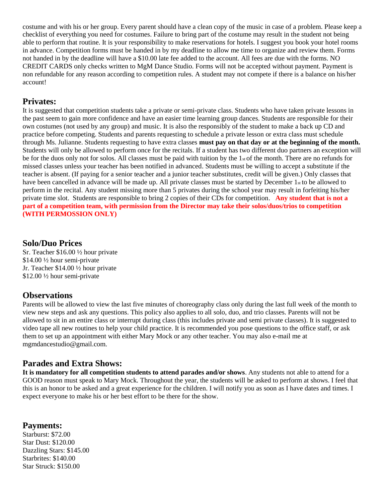costume and with his or her group. Every parent should have a clean copy of the music in case of a problem. Please keep a checklist of everything you need for costumes. Failure to bring part of the costume may result in the student not being able to perform that routine. It is your responsibility to make reservations for hotels. I suggest you book your hotel rooms in advance. Competition forms must be handed in by my deadline to allow me time to organize and review them. Forms not handed in by the deadline will have a \$10.00 late fee added to the account. All fees are due with the forms. NO CREDIT CARDS only checks written to MgM Dance Studio. Forms will not be accepted without payment. Payment is non refundable for any reason according to competition rules. A student may not compete if there is a balance on his/her account!

#### **Privates:**

It is suggested that competition students take a private or semi-private class. Students who have taken private lessons in the past seem to gain more confidence and have an easier time learning group dances. Students are responsible for their own costumes (not used by any group) and music. It is also the responsibly of the student to make a back up CD and practice before competing. Students and parents requesting to schedule a private lesson or extra class must schedule through Ms. Julianne. Students requesting to have extra classes **must pay on that day or at the beginning of the month.**  Students will only be allowed to perform once for the recitals. If a student has two different duo partners an exception will be for the duos only not for solos. All classes must be paid with tuition by the  $1<sub>st</sub>$  of the month. There are no refunds for missed classes unless your teacher has been notified in advanced. Students must be willing to accept a substitute if the teacher is absent. (If paying for a senior teacher and a junior teacher substitutes, credit will be given.) Only classes that have been cancelled in advance will be made up. All private classes must be started by December 1st to be allowed to perform in the recital. Any student missing more than 5 privates during the school year may result in forfeiting his/her private time slot. Students are responsible to bring 2 copies of their CDs for competition. **Any student that is not a part of a competition team, with permission from the Director may take their solos/duos/trios to competition (WITH PERMOSSION ONLY)**

#### **Solo/Duo Prices**

Sr. Teacher \$16.00 ½ hour private \$14.00 ½ hour semi-private Jr. Teacher \$14.00 ½ hour private \$12.00 ½ hour semi-private

## **Observations**

Parents will be allowed to view the last five minutes of choreography class only during the last full week of the month to view new steps and ask any questions. This policy also applies to all solo, duo, and trio classes. Parents will not be allowed to sit in an entire class or interrupt during class (this includes private and semi private classes). It is suggested to video tape all new routines to help your child practice. It is recommended you pose questions to the office staff, or ask them to set up an appointment with either Mary Mock or any other teacher. You may also e-mail me at mgmdancestudio@gmail.com.

## **Parades and Extra Shows:**

**It is mandatory for all competition students to attend parades and/or shows**. Any students not able to attend for a GOOD reason must speak to Mary Mock. Throughout the year, the students will be asked to perform at shows. I feel that this is an honor to be asked and a great experience for the children. I will notify you as soon as I have dates and times. I expect everyone to make his or her best effort to be there for the show.

#### **Payments:**

Starburst: \$72.00 Star Dust: \$120.00 Dazzling Stars: \$145.00 Starbrites: \$140.00 Star Struck: \$150.00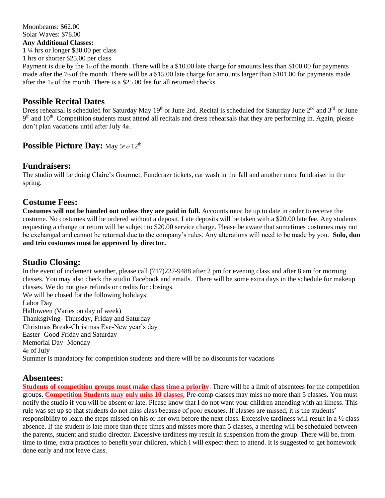Moonbeams: \$62.00 Solar Waves: \$78.00 **Any Additional Classes:**  1 ¼ hrs or longer \$30.00 per class 1 hrs or shorter \$25.00 per class

Payment is due by the  $1_{st}$  of the month. There will be a \$10.00 late charge for amounts less than \$100.00 for payments made after the  $7<sub>th</sub>$  of the month. There will be a \$15.00 late charge for amounts larger than \$101.00 for payments made after the 1st of the month. There is a \$25.00 fee for all returned checks.

## **Possible Recital Dates**

Dress rehearsal is scheduled for Saturday May 19<sup>th</sup> or June 2rd. Recital is scheduled for Saturday June 2<sup>nd</sup> and 3<sup>rd</sup> or June  $9<sup>th</sup>$  and  $10<sup>th</sup>$ . Competition students must attend all recitals and dress rehearsals that they are performing in. Again, please don't plan vacations until after July  $4<sub>th</sub>$ .

## **Possible Picture Day:** May  $5^{\text{th}}$  or  $12^{\text{th}}$

#### **Fundraisers:**

The studio will be doing Claire's Gourmet, Fundcrazr tickets, car wash in the fall and another more fundraiser in the spring.

#### **Costume Fees:**

**Costumes will not be handed out unless they are paid in full.** Accounts must be up to date in order to receive the costume. No costumes will be ordered without a deposit. Late deposits will be taken with a \$20.00 late fee. Any students requesting a change or return will be subject to \$20.00 service charge. Please be aware that sometimes costumes may not be exchanged and cannot be returned due to the company's rules. Any alterations will need to be made by you. **Solo, duo and trio costumes must be approved by director.**

## **Studio Closing:**

In the event of inclement weather, please call (717)227-9488 after 2 pm for evening class and after 8 am for morning classes. You may also check the studio Facebook and emails. There will be some extra days in the schedule for makeup classes. We do not give refunds or credits for closings. We will be closed for the following holidays: Labor Day Halloween (Varies on day of week)

Thanksgiving- Thursday, Friday and Saturday

Christmas Break-Christmas Eve-New year's day

Easter- Good Friday and Saturday

Memorial Day- Monday

4th of July

Summer is mandatory for competition students and there will be no discounts for vacations

## **Absentees:**

**Students of competition groups must make class time a priority**. There will be a limit of absentees for the competition group**s. Competition Students may only miss 10 classes**; Pre-comp classes may miss no more than 5 classes. You must notify the studio if you will be absent or late. Please know that I do not want your children attending with an illness. This rule was set up so that students do not miss class because of poor excuses. If classes are missed, it is the students' responsibility to learn the steps missed on his or her own before the next class. Excessive tardiness will result in a  $\frac{1}{2}$  class absence. If the student is late more than three times and misses more than 5 classes, a meeting will be scheduled between the parents, student and studio director. Excessive tardiness my result in suspension from the group. There will be, from time to time, extra practices to benefit your children, which I will expect them to attend. It is suggested to get homework done early and not leave class.